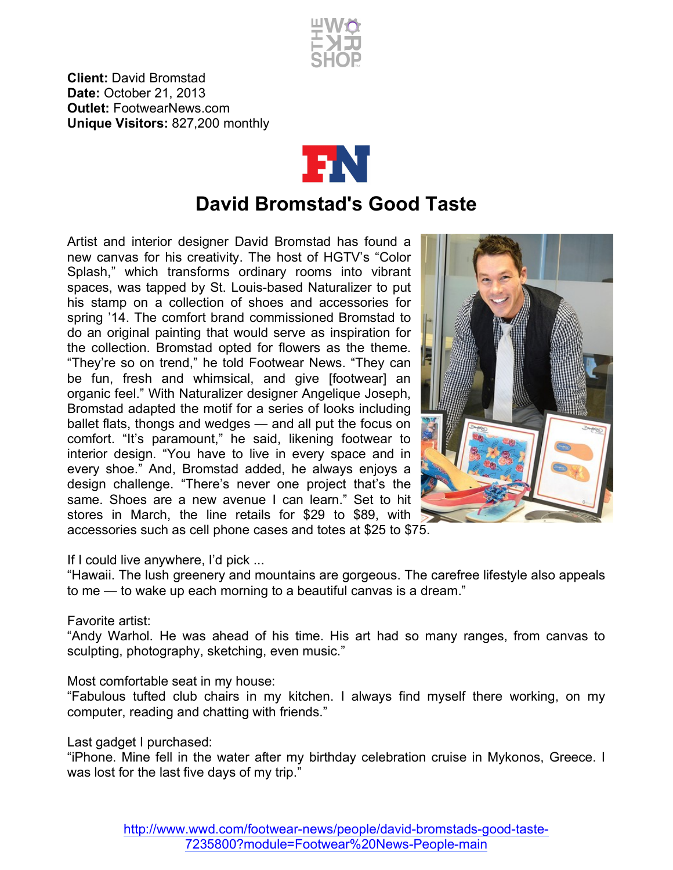

**Client:** David Bromstad **Date:** October 21, 2013 **Outlet:** FootwearNews.com **Unique Visitors:** 827,200 monthly



## **David Bromstad's Good Taste**

Artist and interior designer David Bromstad has found a new canvas for his creativity. The host of HGTV's "Color Splash," which transforms ordinary rooms into vibrant spaces, was tapped by St. Louis-based Naturalizer to put his stamp on a collection of shoes and accessories for spring '14. The comfort brand commissioned Bromstad to do an original painting that would serve as inspiration for the collection. Bromstad opted for flowers as the theme. "They're so on trend," he told Footwear News. "They can be fun, fresh and whimsical, and give [footwear] an organic feel." With Naturalizer designer Angelique Joseph, Bromstad adapted the motif for a series of looks including ballet flats, thongs and wedges — and all put the focus on comfort. "It's paramount," he said, likening footwear to interior design. "You have to live in every space and in every shoe." And, Bromstad added, he always enjoys a design challenge. "There's never one project that's the same. Shoes are a new avenue I can learn." Set to hit stores in March, the line retails for \$29 to \$89, with accessories such as cell phone cases and totes at \$25 to \$75.



If I could live anywhere, I'd pick ...

"Hawaii. The lush greenery and mountains are gorgeous. The carefree lifestyle also appeals to me — to wake up each morning to a beautiful canvas is a dream."

## Favorite artist:

"Andy Warhol. He was ahead of his time. His art had so many ranges, from canvas to sculpting, photography, sketching, even music."

Most comfortable seat in my house:

"Fabulous tufted club chairs in my kitchen. I always find myself there working, on my computer, reading and chatting with friends."

## Last gadget I purchased:

"iPhone. Mine fell in the water after my birthday celebration cruise in Mykonos, Greece. I was lost for the last five days of my trip."